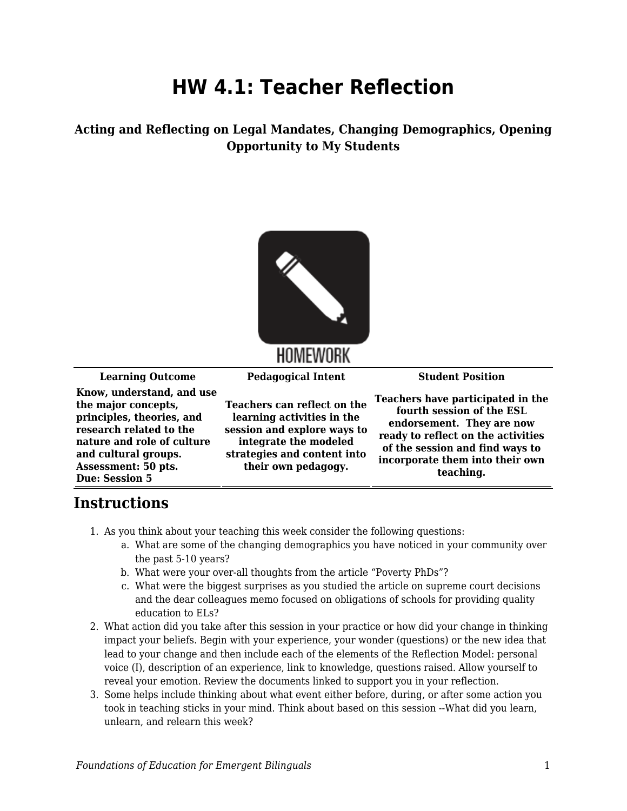## **HW 4.1: Teacher Reflection**

**Acting and Reflecting on Legal Mandates, Changing Demographics, Opening Opportunity to My Students**



## HOMEWORK

**Learning Outcome Pedagogical Intent Student Position**

**Know, understand, and use the major concepts, principles, theories, and research related to the nature and role of culture and cultural groups. Assessment: 50 pts. Due: Session 5**

**Teachers can reflect on the learning activities in the session and explore ways to integrate the modeled strategies and content into their own pedagogy.**

**Teachers have participated in the fourth session of the ESL endorsement. They are now ready to reflect on the activities of the session and find ways to incorporate them into their own teaching.**

## **Instructions**

- 1. As you think about your teaching this week consider the following questions:
	- a. What are some of the changing demographics you have noticed in your community over the past 5-10 years?
	- b. What were your over-all thoughts from the article "Poverty PhDs"?
	- c. What were the biggest surprises as you studied the article on supreme court decisions and the dear colleagues memo focused on obligations of schools for providing quality education to ELs?
- 2. What action did you take after this session in your practice or how did your change in thinking impact your beliefs. Begin with your experience, your wonder (questions) or the new idea that lead to your change and then include each of the elements of the Reflection Model: personal voice (I), description of an experience, link to knowledge, questions raised. Allow yourself to reveal your emotion. Review the documents linked to support you in your reflection.
- 3. Some helps include thinking about what event either before, during, or after some action you took in teaching sticks in your mind. Think about based on this session --What did you learn, unlearn, and relearn this week?